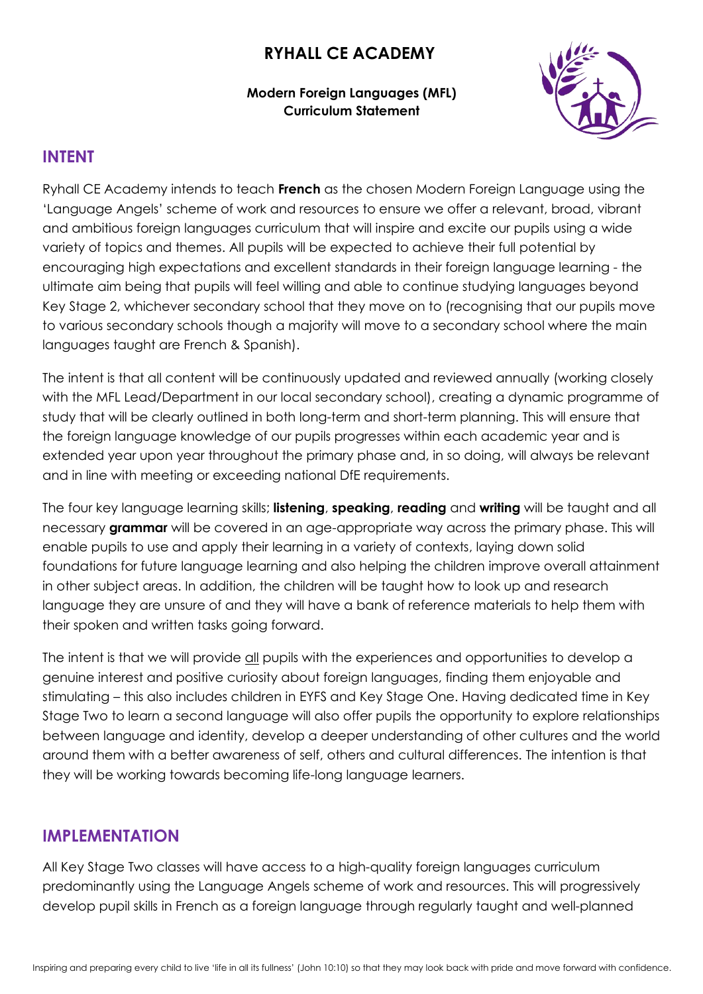# **RYHALL CE ACADEMY**

#### **Modern Foreign Languages (MFL) Curriculum Statement**



### **INTENT**

Ryhall CE Academy intends to teach **French** as the chosen Modern Foreign Language using the 'Language Angels' scheme of work and resources to ensure we offer a relevant, broad, vibrant and ambitious foreign languages curriculum that will inspire and excite our pupils using a wide variety of topics and themes. All pupils will be expected to achieve their full potential by encouraging high expectations and excellent standards in their foreign language learning - the ultimate aim being that pupils will feel willing and able to continue studying languages beyond Key Stage 2, whichever secondary school that they move on to (recognising that our pupils move to various secondary schools though a majority will move to a secondary school where the main languages taught are French & Spanish).

The intent is that all content will be continuously updated and reviewed annually (working closely with the MFL Lead/Department in our local secondary school), creating a dynamic programme of study that will be clearly outlined in both long-term and short-term planning. This will ensure that the foreign language knowledge of our pupils progresses within each academic year and is extended year upon year throughout the primary phase and, in so doing, will always be relevant and in line with meeting or exceeding national DfE requirements.

The four key language learning skills; **listening**, **speaking**, **reading** and **writing** will be taught and all necessary **grammar** will be covered in an age-appropriate way across the primary phase. This will enable pupils to use and apply their learning in a variety of contexts, laying down solid foundations for future language learning and also helping the children improve overall attainment in other subject areas. In addition, the children will be taught how to look up and research language they are unsure of and they will have a bank of reference materials to help them with their spoken and written tasks going forward.

The intent is that we will provide all pupils with the experiences and opportunities to develop a genuine interest and positive curiosity about foreign languages, finding them enjoyable and stimulating – this also includes children in EYFS and Key Stage One. Having dedicated time in Key Stage Two to learn a second language will also offer pupils the opportunity to explore relationships between language and identity, develop a deeper understanding of other cultures and the world around them with a better awareness of self, others and cultural differences. The intention is that they will be working towards becoming life-long language learners.

### **IMPLEMENTATION**

All Key Stage Two classes will have access to a high-quality foreign languages curriculum predominantly using the Language Angels scheme of work and resources. This will progressively develop pupil skills in French as a foreign language through regularly taught and well-planned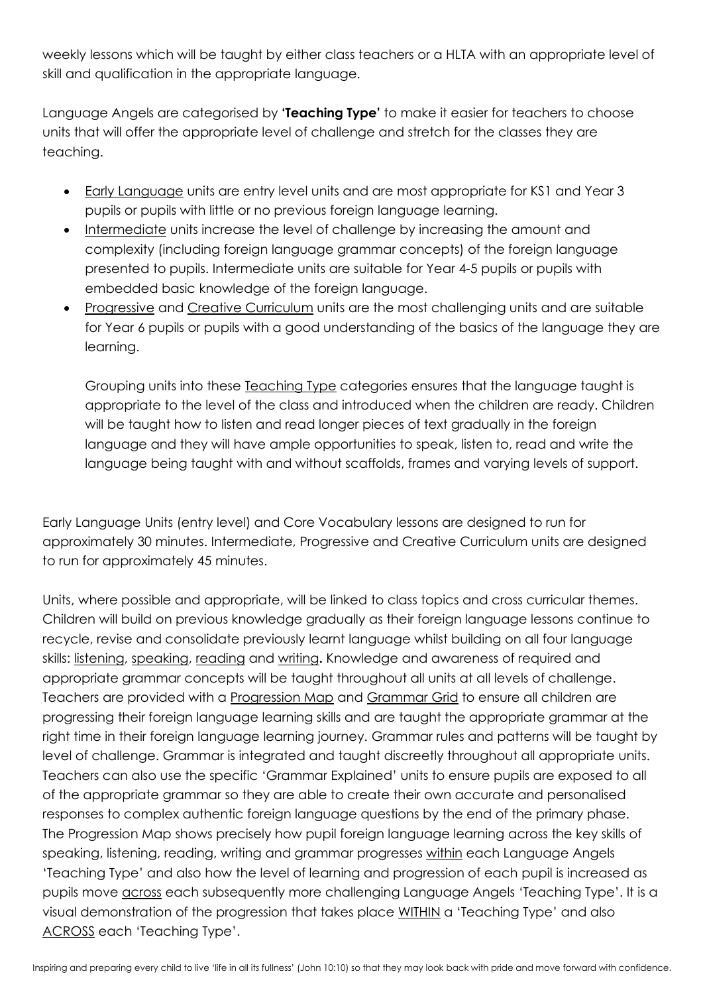weekly lessons which will be taught by either class teachers or a HLTA with an appropriate level of skill and qualification in the appropriate language.

Language Angels are categorised by **'Teaching Type'** to make it easier for teachers to choose units that will offer the appropriate level of challenge and stretch for the classes they are teaching.

- Early Language units are entry level units and are most appropriate for KS1 and Year 3 pupils or pupils with little or no previous foreign language learning.
- Intermediate units increase the level of challenge by increasing the amount and complexity (including foreign language grammar concepts) of the foreign language presented to pupils. Intermediate units are suitable for Year 4-5 pupils or pupils with embedded basic knowledge of the foreign language.
- Progressive and Creative Curriculum units are the most challenging units and are suitable for Year 6 pupils or pupils with a good understanding of the basics of the language they are learning.

Grouping units into these Teaching Type categories ensures that the language taught is appropriate to the level of the class and introduced when the children are ready. Children will be taught how to listen and read longer pieces of text gradually in the foreign language and they will have ample opportunities to speak, listen to, read and write the language being taught with and without scaffolds, frames and varying levels of support.

Early Language Units (entry level) and Core Vocabulary lessons are designed to run for approximately 30 minutes. Intermediate, Progressive and Creative Curriculum units are designed to run for approximately 45 minutes.

Units, where possible and appropriate, will be linked to class topics and cross curricular themes. Children will build on previous knowledge gradually as their foreign language lessons continue to recycle, revise and consolidate previously learnt language whilst building on all four language skills: listening, speaking, reading and writing**.** Knowledge and awareness of required and appropriate grammar concepts will be taught throughout all units at all levels of challenge. Teachers are provided with a Progression Map and Grammar Grid to ensure all children are progressing their foreign language learning skills and are taught the appropriate grammar at the right time in their foreign language learning journey. Grammar rules and patterns will be taught by level of challenge. Grammar is integrated and taught discreetly throughout all appropriate units. Teachers can also use the specific 'Grammar Explained' units to ensure pupils are exposed to all of the appropriate grammar so they are able to create their own accurate and personalised responses to complex authentic foreign language questions by the end of the primary phase. The Progression Map shows precisely how pupil foreign language learning across the key skills of speaking, listening, reading, writing and grammar progresses within each Language Angels 'Teaching Type' and also how the level of learning and progression of each pupil is increased as pupils move across each subsequently more challenging Language Angels 'Teaching Type'. It is a visual demonstration of the progression that takes place WITHIN a 'Teaching Type' and also ACROSS each 'Teaching Type'.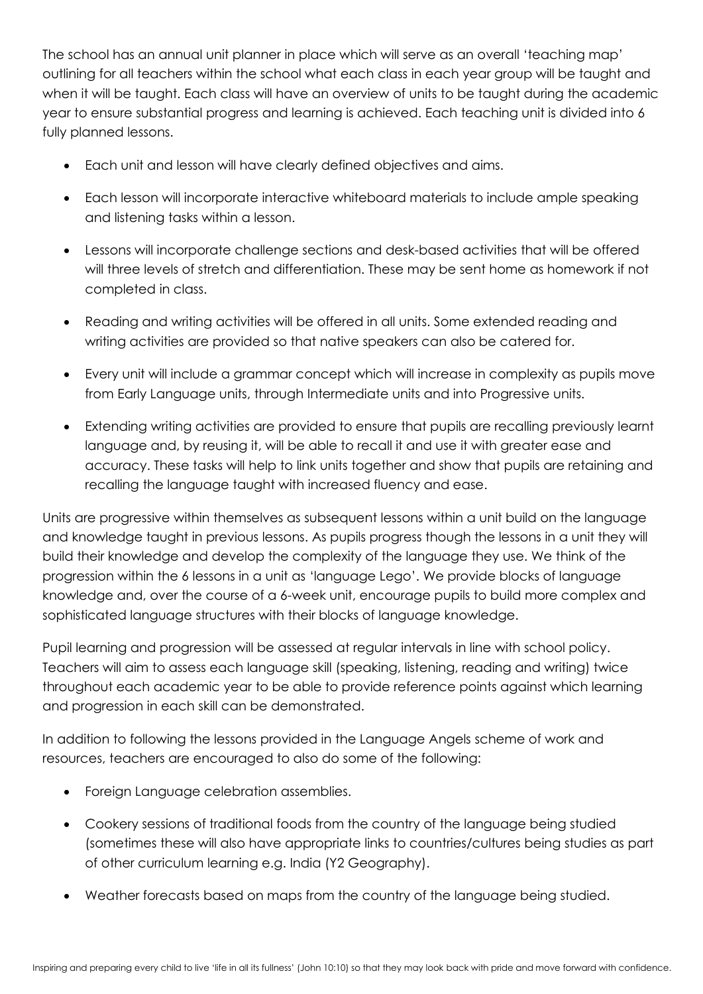The school has an annual unit planner in place which will serve as an overall 'teaching map' outlining for all teachers within the school what each class in each year group will be taught and when it will be taught. Each class will have an overview of units to be taught during the academic year to ensure substantial progress and learning is achieved. Each teaching unit is divided into 6 fully planned lessons.

- Each unit and lesson will have clearly defined objectives and aims.
- Each lesson will incorporate interactive whiteboard materials to include ample speaking and listening tasks within a lesson.
- Lessons will incorporate challenge sections and desk-based activities that will be offered will three levels of stretch and differentiation. These may be sent home as homework if not completed in class.
- Reading and writing activities will be offered in all units. Some extended reading and writing activities are provided so that native speakers can also be catered for.
- Every unit will include a grammar concept which will increase in complexity as pupils move from Early Language units, through Intermediate units and into Progressive units.
- Extending writing activities are provided to ensure that pupils are recalling previously learnt language and, by reusing it, will be able to recall it and use it with greater ease and accuracy. These tasks will help to link units together and show that pupils are retaining and recalling the language taught with increased fluency and ease.

Units are progressive within themselves as subsequent lessons within a unit build on the language and knowledge taught in previous lessons. As pupils progress though the lessons in a unit they will build their knowledge and develop the complexity of the language they use. We think of the progression within the 6 lessons in a unit as 'language Lego'. We provide blocks of language knowledge and, over the course of a 6-week unit, encourage pupils to build more complex and sophisticated language structures with their blocks of language knowledge.

Pupil learning and progression will be assessed at regular intervals in line with school policy. Teachers will aim to assess each language skill (speaking, listening, reading and writing) twice throughout each academic year to be able to provide reference points against which learning and progression in each skill can be demonstrated.

In addition to following the lessons provided in the Language Angels scheme of work and resources, teachers are encouraged to also do some of the following:

- Foreign Language celebration assemblies.
- Cookery sessions of traditional foods from the country of the language being studied (sometimes these will also have appropriate links to countries/cultures being studies as part of other curriculum learning e.g. India (Y2 Geography).
- Weather forecasts based on maps from the country of the language being studied.